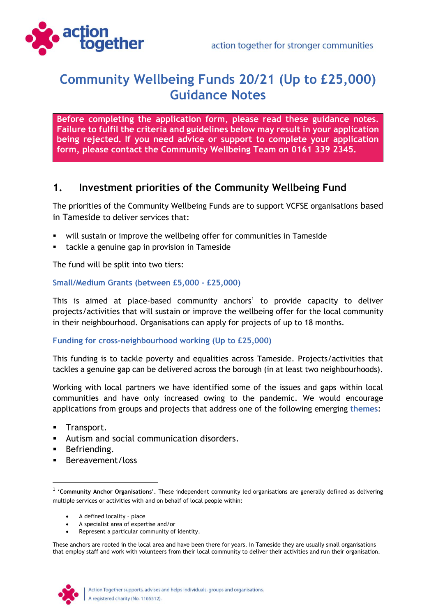

# **Community Wellbeing Funds 20/21 (Up to £25,000) Guidance Notes**

**Before completing the application form, please read these guidance notes. Failure to fulfil the criteria and guidelines below may result in your application being rejected. If you need advice or support to complete your application form, please contact the Community Wellbeing Team on 0161 339 2345.**

#### **1. Investment priorities of the Community Wellbeing Fund**

The priorities of the Community Wellbeing Funds are to support VCFSE organisations based in Tameside to deliver services that:

- will sustain or improve the wellbeing offer for communities in Tameside
- tackle a genuine gap in provision in Tameside

The fund will be split into two tiers:

#### **Small/Medium Grants (between £5,000 - £25,000)**

This is aimed at place-based community anchors<sup>1</sup> to provide capacity to deliver projects/activities that will sustain or improve the wellbeing offer for the local community in their neighbourhood. Organisations can apply for projects of up to 18 months.

#### **Funding for cross-neighbourhood working (Up to £25,000)**

This funding is to tackle poverty and equalities across Tameside. Projects/activities that tackles a genuine gap can be delivered across the borough (in at least two neighbourhoods).

Working with local partners we have identified some of the issues and gaps within local communities and have only increased owing to the pandemic. We would encourage applications from groups and projects that address one of the following emerging **themes**:

- **■** Transport.
- Autism and social communication disorders.
- **■** Befriending.
- Bereavement/loss

- A defined locality place
- A specialist area of expertise and/or
- Represent a particular community of identity.

These anchors are rooted in the local area and have been there for years. In Tameside they are usually small organisations that employ staff and work with volunteers from their local community to deliver their activities and run their organisation.



<sup>&</sup>lt;sup>1</sup> 'Community Anchor Organisations'. These independent community led organisations are generally defined as delivering multiple services or activities with and on behalf of local people within: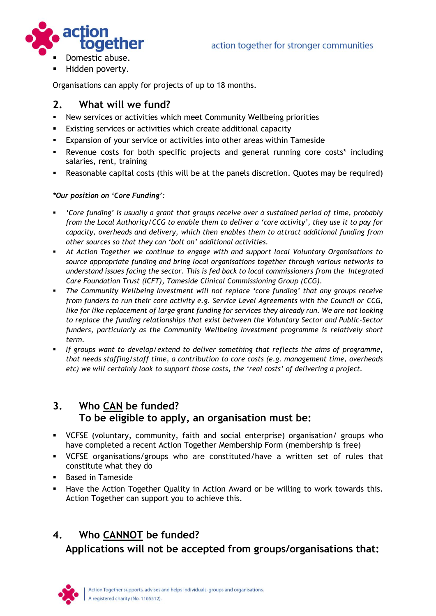

Hidden poverty.

Organisations can apply for projects of up to 18 months.

### **2. What will we fund?**

- **EXECT** New services or activities which meet Community Wellbeing priorities
- **Existing services or activities which create additional capacity**
- **Expansion of your service or activities into other areas within Tameside**
- **EXECTE:** Revenue costs for both specific projects and general running core costs\* including salaries, rent, training
- Reasonable capital costs (this will be at the panels discretion. Quotes may be required)

#### *\*Our position on 'Core Funding':*

- 'Core funding' is usually a grant that groups receive over a sustained period of time, probably *from the Local Authority/CCG to enable them to deliver a 'core activity', they use it to pay for capacity, overheads and delivery, which then enables them to attract additional funding from other sources so that they can 'bolt on' additional activities.*
- *At Action Together we continue to engage with and support local Voluntary Organisations to source appropriate funding and bring local organisations together through various networks to understand issues facing the sector. This is fed back to local commissioners from the Integrated Care Foundation Trust (ICFT), Tameside Clinical Commissioning Group (CCG).*
- *The Community Wellbeing Investment will not replace 'core funding' that any groups receive from funders to run their core activity e.g. Service Level Agreements with the Council or CCG, like for like replacement of large grant funding for services they already run. We are not looking to replace the funding relationships that exist between the Voluntary Sector and Public-Sector funders, particularly as the Community Wellbeing Investment programme is relatively short term.*
- *If groups want to develop/extend to deliver something that reflects the aims of programme, that needs staffing/staff time, a contribution to core costs (e.g. management time, overheads etc) we will certainly look to support those costs, the 'real costs' of delivering a project.*

# **3. Who CAN be funded? To be eligible to apply, an organisation must be:**

- VCFSE (voluntary, community, faith and social enterprise) organisation/ groups who have completed a recent Action Together Membership Form (membership is free)
- VCFSE organisations/groups who are constituted/have a written set of rules that constitute what they do
- Based in Tameside
- Have the Action Together Quality in Action Award or be willing to work towards this. Action Together can support you to achieve this.

# **4. Who CANNOT be funded? Applications will not be accepted from groups/organisations that:**

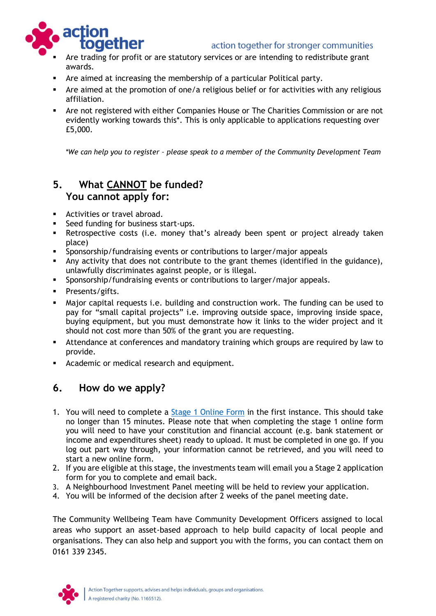#### action together for stronger communities



- Are trading for profit or are statutory services or are intending to redistribute grant awards.
- Are aimed at increasing the membership of a particular Political party.
- Are aimed at the promotion of one/a religious belief or for activities with any religious affiliation.
- **Are not registered with either Companies House or The Charities Commission or are not** evidently working towards this\*. This is only applicable to applications requesting over £5,000.

*\*We can help you to register – please speak to a member of the Community Development Team*

# **5. What CANNOT be funded? You cannot apply for:**

- Activities or travel abroad.
- Seed funding for business start-ups.
- **EXECT** Retrospective costs (i.e. money that's already been spent or project already taken place)
- **•** Sponsorship/fundraising events or contributions to larger/major appeals
- Any activity that does not contribute to the grant themes (identified in the guidance), unlawfully discriminates against people, or is illegal.
- **•** Sponsorship/fundraising events or contributions to larger/major appeals.
- **·** Presents/gifts.
- Major capital requests i.e. building and construction work. The funding can be used to pay for "small capital projects" i.e. improving outside space, improving inside space, buying equipment, but you must demonstrate how it links to the wider project and it should not cost more than 50% of the grant you are requesting.
- Attendance at conferences and mandatory training which groups are required by law to provide.
- **EXEC** Academic or medical research and equipment.

# **6. How do we apply?**

- 1. You will need to complete a [Stage 1 Online Form](http://www.actiontogether.org.uk/civicrm/profile/create?gid=141&reset=1) in the first instance. This should take no longer than 15 minutes. Please note that when completing the stage 1 online form you will need to have your constitution and financial account (e.g. bank statement or income and expenditures sheet) ready to upload. It must be completed in one go. If you log out part way through, your information cannot be retrieved, and you will need to start a new online form.
- 2. If you are eligible at this stage, the investments team will email you a Stage 2 application form for you to complete and email back.
- 3. A Neighbourhood Investment Panel meeting will be held to review your application.
- 4. You will be informed of the decision after 2 weeks of the panel meeting date.

The Community Wellbeing Team have Community Development Officers assigned to local areas who support an asset-based approach to help build capacity of local people and organisations. They can also help and support you with the forms, you can contact them on 0161 339 2345.

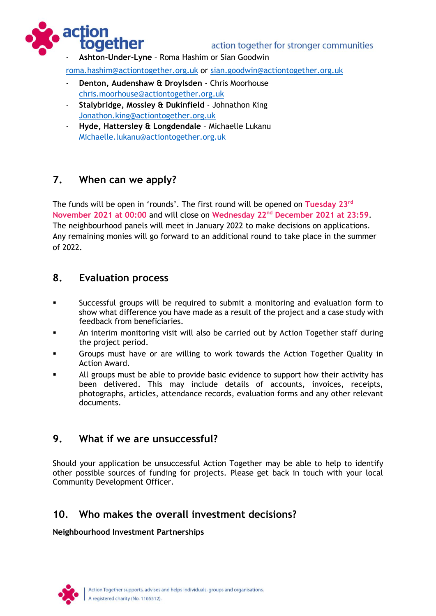



- **Ashton-Under-Lyne** – Roma Hashim or Sian Goodwin

[roma.hashim@actiontogether.org.uk](mailto:roma.hashim@actiontogether.org.uk) or [sian.goodwin@actiontogether.org.uk](mailto:sian.goodwin@actiontogether.org.uk)

- Denton, Audenshaw & Droylsden Chris Moorhouse [chris.moorhouse@actiontogether.org.uk](mailto:chris.moorhouse@actiontogether.org.uk)
- **Stalybridge, Mossley & Dukinfield** Johnathon King [Jonathon.king@actiontogether.org.uk](mailto:Jonathon.king@actiontogether.org.uk)
- **Hyde, Hattersley & Longdendale** Michaelle Lukanu [Michaelle.lukanu@actiontogether.org.uk](mailto:Michaelle.lukanu@actiontogether.org.uk)

# **7. When can we apply?**

The funds will be open in 'rounds'. The first round will be opened on **Tuesday 23rd November 2021 at 00:00** and will close on **Wednesday 22nd December 2021 at 23:59**. The neighbourhood panels will meet in January 2022 to make decisions on applications. Any remaining monies will go forward to an additional round to take place in the summer of 2022.

#### **8. Evaluation process**

- Successful groups will be required to submit a monitoring and evaluation form to show what difference you have made as a result of the project and a case study with feedback from beneficiaries.
- An interim monitoring visit will also be carried out by Action Together staff during the project period.
- Groups must have or are willing to work towards the Action Together Quality in Action Award.
- All groups must be able to provide basic evidence to support how their activity has been delivered. This may include details of accounts, invoices, receipts, photographs, articles, attendance records, evaluation forms and any other relevant documents.

### **9. What if we are unsuccessful?**

Should your application be unsuccessful Action Together may be able to help to identify other possible sources of funding for projects. Please get back in touch with your local Community Development Officer.

# **10. Who makes the overall investment decisions?**

#### **Neighbourhood Investment Partnerships**